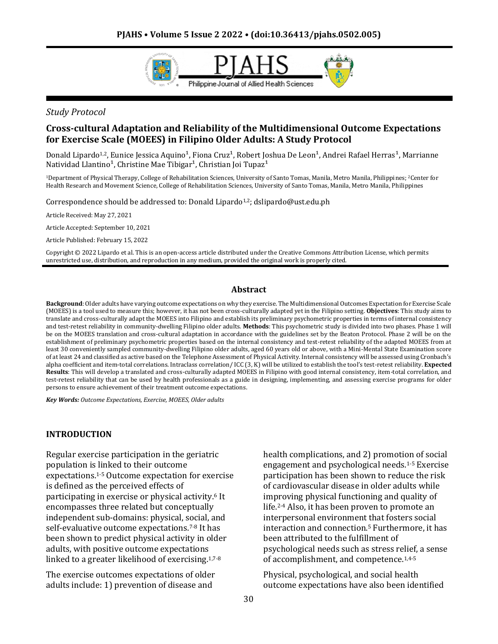

### *Study Protocol*

### **Cross-cultural Adaptation and Reliability of the Multidimensional Outcome Expectations for Exercise Scale (MOEES) in Filipino Older Adults: A Study Protocol**

Donald Lipardo<sup>1,2</sup>, Eunice Jessica Aquino<sup>1</sup>, Fiona Cruz<sup>1</sup>, Robert Joshua De Leon<sup>1</sup>, Andrei Rafael Herras<sup>1</sup>, Marrianne Natividad Llantino<sup>1</sup>, Christine Mae Tibigar<sup>1</sup>, Christian Joi Tupaz<sup>1</sup>

<sup>1</sup>Department of Physical Therapy, College of Rehabilitation Sciences, University of Santo Tomas, Manila, Metro Manila, Philippines; 2Center for Health Research and Movement Science, College of Rehabilitation Sciences, University of Santo Tomas, Manila, Metro Manila, Philippines

Correspondence should be addressed to: Donald Lipardo<sup>1,2</sup>; dslipardo@ust.edu.ph

Article Received: May 27, 2021

Article Accepted: September 10, 2021

Article Published: February 15, 2022

Copyright © 2022 Lipardo et al. This is an open-access article distributed under the Creative Commons Attribution License, which permits unrestricted use, distribution, and reproduction in any medium, provided the original work is properly cited.

#### **Abstract**

**Background**: Older adults have varying outcome expectations on why they exercise. The Multidimensional Outcomes Expectation for Exercise Scale (MOEES) is a tool used to measure this; however, it has not been cross-culturally adapted yet in the Filipino setting. **Objectives**: This study aims to translate and cross-culturally adapt the MOEES into Filipino and establish its preliminary psychometric properties in terms of internal consistency and test-retest reliability in community-dwelling Filipino older adults. **Methods**: This psychometric study is divided into two phases. Phase 1 will be on the MOEES translation and cross-cultural adaptation in accordance with the guidelines set by the Beaton Protocol. Phase 2 will be on the establishment of preliminary psychometric properties based on the internal consistency and test-retest reliability of the adapted MOEES from at least 30 conveniently sampled community-dwelling Filipino older adults, aged 60 years old or above, with a Mini-Mental State Examination score of at least 24 and classified as active based on the Telephone Assessment of Physical Activity. Internal consistency will be assessed using Cronbach's alpha coefficient and item-total correlations. Intraclass correlation/ ICC (3, K) will be utilized to establish the tool's test-retest reliability. **Expected Results**: This will develop a translated and cross-culturally adapted MOEES in Filipino with good internal consistency, item-total correlation, and test-retest reliability that can be used by health professionals as a guide in designing, implementing, and assessing exercise programs for older persons to ensure achievement of their treatment outcome expectations.

*Key Words: Outcome Expectations, Exercise, MOEES, Older adults*

#### **INTRODUCTION**

Regular exercise participation in the geriatric population is linked to their outcome expectations.1-5 Outcome expectation for exercise is defined as the perceived effects of participating in exercise or physical activity.<sup>6</sup> It encompasses three related but conceptually independent sub-domains: physical, social, and self-evaluative outcome expectations.7-8 It has been shown to predict physical activity in older adults, with positive outcome expectations linked to a greater likelihood of exercising.1,7-8

The exercise outcomes expectations of older adults include: 1) prevention of disease and

health complications, and 2) promotion of social engagement and psychological needs.1-5 Exercise participation has been shown to reduce the risk of cardiovascular disease in older adults while improving physical functioning and quality of life.2-4 Also, it has been proven to promote an interpersonal environment that fosters social interaction and connection.<sup>5</sup> Furthermore, it has been attributed to the fulfillment of psychological needs such as stress relief, a sense of accomplishment, and competence.1,4-5

Physical, psychological, and social health outcome expectations have also been identified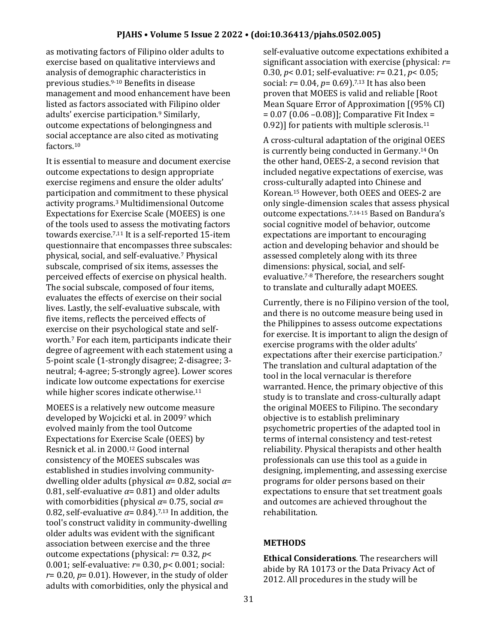as motivating factors of Filipino older adults to exercise based on qualitative interviews and analysis of demographic characteristics in previous studies.9-10 Benefits in disease management and mood enhancement have been listed as factors associated with Filipino older adults' exercise participation.<sup>9</sup> Similarly, outcome expectations of belongingness and social acceptance are also cited as motivating factors.<sup>10</sup>

It is essential to measure and document exercise outcome expectations to design appropriate exercise regimens and ensure the older adults' participation and commitment to these physical activity programs.<sup>3</sup> Multidimensional Outcome Expectations for Exercise Scale (MOEES) is one of the tools used to assess the motivating factors towards exercise.7,11 It is a self-reported 15-item questionnaire that encompasses three subscales: physical, social, and self-evaluative.<sup>7</sup> Physical subscale, comprised of six items, assesses the perceived effects of exercise on physical health. The social subscale, composed of four items, evaluates the effects of exercise on their social lives. Lastly, the self-evaluative subscale, with five items, reflects the perceived effects of exercise on their psychological state and selfworth.<sup>7</sup> For each item, participants indicate their degree of agreement with each statement using a 5-point scale (1-strongly disagree; 2-disagree; 3 neutral; 4-agree; 5-strongly agree). Lower scores indicate low outcome expectations for exercise while higher scores indicate otherwise.<sup>11</sup>

MOEES is a relatively new outcome measure developed by Wojcicki et al. in 2009<sup>7</sup> which evolved mainly from the tool Outcome Expectations for Exercise Scale (OEES) by Resnick et al. in 2000.<sup>12</sup> Good internal consistency of the MOEES subscales was established in studies involving communitydwelling older adults (physical *α*= 0.82, social *α*= 0.81, self-evaluative  $\alpha$ = 0.81) and older adults with comorbidities (physical *α*= 0.75, social *α*= 0.82, self-evaluative  $\alpha$ = 0.84).<sup>7,13</sup> In addition, the tool's construct validity in community-dwelling older adults was evident with the significant association between exercise and the three outcome expectations (physical: *r*= 0.32, *p*< 0.001; self-evaluative: *r*= 0.30, *p*< 0.001; social:  $r=0.20$ ,  $p=0.01$ ). However, in the study of older adults with comorbidities, only the physical and

self-evaluative outcome expectations exhibited a significant association with exercise (physical: *r*= 0.30, *p*< 0.01; self-evaluative: *r*= 0.21, *p*< 0.05; social: *r*= 0.04, *p*= 0.69).7,13 It has also been proven that MOEES is valid and reliable [Root Mean Square Error of Approximation [(95% CI) = 0.07 (0.06 –0.08)]; Comparative Fit Index = 0.92)] for patients with multiple sclerosis.<sup>11</sup>

A cross-cultural adaptation of the original OEES is currently being conducted in Germany.14 On the other hand, OEES-2, a second revision that included negative expectations of exercise, was cross-culturally adapted into Chinese and Korean.<sup>15</sup> However, both OEES and OEES-2 are only single-dimension scales that assess physical outcome expectations.7,14-15 Based on Bandura's social cognitive model of behavior, outcome expectations are important to encouraging action and developing behavior and should be assessed completely along with its three dimensions: physical, social, and selfevaluative.7-8 Therefore, the researchers sought to translate and culturally adapt MOEES.

Currently, there is no Filipino version of the tool, and there is no outcome measure being used in the Philippines to assess outcome expectations for exercise. It is important to align the design of exercise programs with the older adults' expectations after their exercise participation.<sup>7</sup> The translation and cultural adaptation of the tool in the local vernacular is therefore warranted. Hence, the primary objective of this study is to translate and cross-culturally adapt the original MOEES to Filipino. The secondary objective is to establish preliminary psychometric properties of the adapted tool in terms of internal consistency and test-retest reliability. Physical therapists and other health professionals can use this tool as a guide in designing, implementing, and assessing exercise programs for older persons based on their expectations to ensure that set treatment goals and outcomes are achieved throughout the rehabilitation.

# **METHODS**

**Ethical Considerations**. The researchers will abide by RA 10173 or the Data Privacy Act of 2012. All procedures in the study will be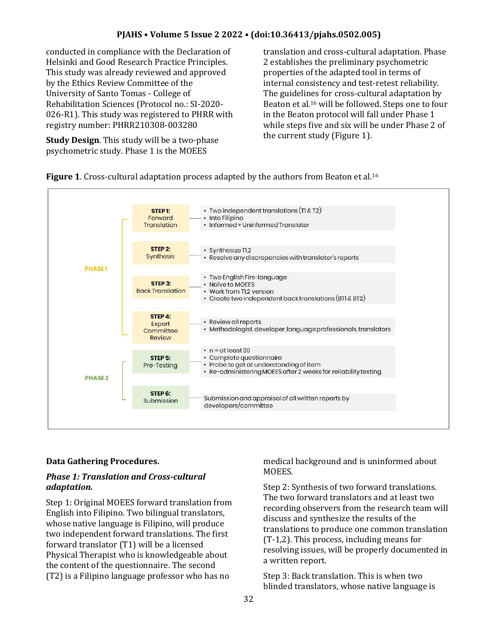conducted in compliance with the Declaration of Helsinki and Good Research Practice Principles. This study was already reviewed and approved by the Ethics Review Committee of the University of Santo Tomas - College of Rehabilitation Sciences (Protocol no.: SI-2020- 026-R1). This study was registered to PHRR with registry number: PHRR210308-003280

**Study Design**. This study will be a two-phase psychometric study. Phase 1 is the MOEES

translation and cross-cultural adaptation. Phase 2 establishes the preliminary psychometric properties of the adapted tool in terms of internal consistency and test-retest reliability. The guidelines for cross-cultural adaptation by Beaton et al.<sup>16</sup> will be followed. Steps one to four in the Beaton protocol will fall under Phase 1 while steps five and six will be under Phase 2 of the current study (Figure 1).

### **Figure 1**. Cross-cultural adaptation process adapted by the authors from Beaton et al.<sup>16</sup>



### **Data Gathering Procedures.**

### *Phase 1: Translation and Cross-cultural adaptation.*

Step 1: Original MOEES forward translation from English into Filipino. Two bilingual translators, whose native language is Filipino, will produce two independent forward translations. The first forward translator (T1) will be a licensed Physical Therapist who is knowledgeable about the content of the questionnaire. The second (T2) is a Filipino language professor who has no

medical background and is uninformed about MOEES.

Step 2: Synthesis of two forward translations. The two forward translators and at least two recording observers from the research team will discuss and synthesize the results of the translations to produce one common translation (T-1,2). This process, including means for resolving issues, will be properly documented in a written report.

Step 3: Back translation. This is when two blinded translators, whose native language is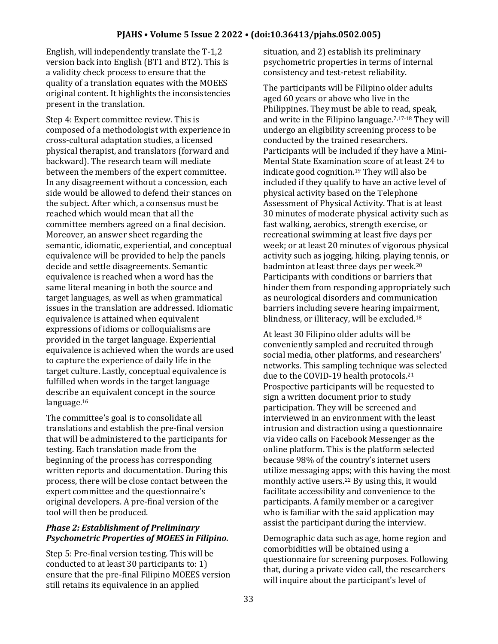English, will independently translate the T-1,2 version back into English (BT1 and BT2). This is a validity check process to ensure that the quality of a translation equates with the MOEES original content. It highlights the inconsistencies present in the translation.

Step 4: Expert committee review. This is composed of a methodologist with experience in cross-cultural adaptation studies, a licensed physical therapist, and translators (forward and backward). The research team will mediate between the members of the expert committee. In any disagreement without a concession, each side would be allowed to defend their stances on the subject. After which, a consensus must be reached which would mean that all the committee members agreed on a final decision. Moreover, an answer sheet regarding the semantic, idiomatic, experiential, and conceptual equivalence will be provided to help the panels decide and settle disagreements. Semantic equivalence is reached when a word has the same literal meaning in both the source and target languages, as well as when grammatical issues in the translation are addressed. Idiomatic equivalence is attained when equivalent expressions of idioms or colloquialisms are provided in the target language. Experiential equivalence is achieved when the words are used to capture the experience of daily life in the target culture. Lastly, conceptual equivalence is fulfilled when words in the target language describe an equivalent concept in the source language.<sup>16</sup>

The committee's goal is to consolidate all translations and establish the pre-final version that will be administered to the participants for testing. Each translation made from the beginning of the process has corresponding written reports and documentation. During this process, there will be close contact between the expert committee and the questionnaire's original developers. A pre-final version of the tool will then be produced.

# *Phase 2: Establishment of Preliminary Psychometric Properties of MOEES in Filipino.*

Step 5: Pre-final version testing. This will be conducted to at least 30 participants to: 1) ensure that the pre-final Filipino MOEES version still retains its equivalence in an applied

situation, and 2) establish its preliminary psychometric properties in terms of internal consistency and test-retest reliability.

The participants will be Filipino older adults aged 60 years or above who live in the Philippines. They must be able to read, speak, and write in the Filipino language.7,17-18 They will undergo an eligibility screening process to be conducted by the trained researchers. Participants will be included if they have a Mini-Mental State Examination score of at least 24 to indicate good cognition.<sup>19</sup> They will also be included if they qualify to have an active level of physical activity based on the Telephone Assessment of Physical Activity. That is at least 30 minutes of moderate physical activity such as fast walking, aerobics, strength exercise, or recreational swimming at least five days per week; or at least 20 minutes of vigorous physical activity such as jogging, hiking, playing tennis, or badminton at least three days per week.<sup>20</sup> Participants with conditions or barriers that hinder them from responding appropriately such as neurological disorders and communication barriers including severe hearing impairment, blindness, or illiteracy, will be excluded.<sup>18</sup>

At least 30 Filipino older adults will be conveniently sampled and recruited through social media, other platforms, and researchers' networks. This sampling technique was selected due to the COVID-19 health protocols.<sup>21</sup> Prospective participants will be requested to sign a written document prior to study participation. They will be screened and interviewed in an environment with the least intrusion and distraction using a questionnaire via video calls on Facebook Messenger as the online platform. This is the platform selected because 98% of the country's internet users utilize messaging apps; with this having the most monthly active users.<sup>22</sup> By using this, it would facilitate accessibility and convenience to the participants. A family member or a caregiver who is familiar with the said application may assist the participant during the interview.

Demographic data such as age, home region and comorbidities will be obtained using a questionnaire for screening purposes. Following that, during a private video call, the researchers will inquire about the participant's level of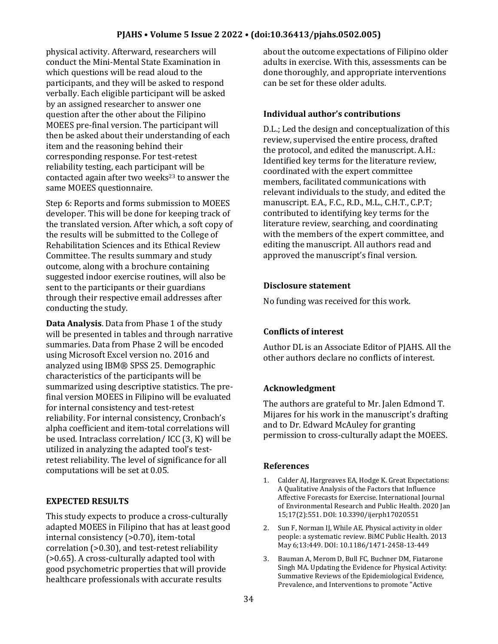physical activity. Afterward, researchers will conduct the Mini-Mental State Examination in which questions will be read aloud to the participants, and they will be asked to respond verbally. Each eligible participant will be asked by an assigned researcher to answer one question after the other about the Filipino MOEES pre-final version. The participant will then be asked about their understanding of each item and the reasoning behind their corresponding response. For test-retest reliability testing, each participant will be contacted again after two weeks $23$  to answer the same MOEES questionnaire.

Step 6: Reports and forms submission to MOEES developer. This will be done for keeping track of the translated version. After which, a soft copy of the results will be submitted to the College of Rehabilitation Sciences and its Ethical Review Committee. The results summary and study outcome, along with a brochure containing suggested indoor exercise routines, will also be sent to the participants or their guardians through their respective email addresses after conducting the study.

**Data Analysis**. Data from Phase 1 of the study will be presented in tables and through narrative summaries. Data from Phase 2 will be encoded using Microsoft Excel version no. 2016 and analyzed using IBM® SPSS 25. Demographic characteristics of the participants will be summarized using descriptive statistics. The prefinal version MOEES in Filipino will be evaluated for internal consistency and test-retest reliability. For internal consistency, Cronbach's alpha coefficient and item-total correlations will be used. Intraclass correlation/ ICC (3, K) will be utilized in analyzing the adapted tool's testretest reliability. The level of significance for all computations will be set at 0.05.

# **EXPECTED RESULTS**

This study expects to produce a cross-culturally adapted MOEES in Filipino that has at least good internal consistency (>0.70), item-total correlation (>0.30), and test-retest reliability (>0.65). A cross-culturally adapted tool with good psychometric properties that will provide healthcare professionals with accurate results

about the outcome expectations of Filipino older adults in exercise. With this, assessments can be done thoroughly, and appropriate interventions can be set for these older adults.

### **Individual author's contributions**

D.L.; Led the design and conceptualization of this review, supervised the entire process, drafted the protocol, and edited the manuscript. A.H.: Identified key terms for the literature review, coordinated with the expert committee members, facilitated communications with relevant individuals to the study, and edited the manuscript. E.A., F.C., R.D., M.L., C.H.T., C.P.T; contributed to identifying key terms for the literature review, searching, and coordinating with the members of the expert committee, and editing the manuscript. All authors read and approved the manuscript's final version.

### **Disclosure statement**

No funding was received for this work.

# **Conflicts of interest**

Author DL is an Associate Editor of PJAHS. All the other authors declare no conflicts of interest.

# **Acknowledgment**

The authors are grateful to Mr. Jalen Edmond T. Mijares for his work in the manuscript's drafting and to Dr. Edward McAuley for granting permission to cross-culturally adapt the MOEES.

### **References**

- 1. Calder AJ, Hargreaves EA, Hodge K. Great Expectations: A Qualitative Analysis of the Factors that Influence Affective Forecasts for Exercise. International Journal of Environmental Research and Public Health. 2020 Jan 15;17(2):551. DOI: 10.3390/ijerph17020551
- 2. Sun F, Norman IJ, While AE. Physical activity in older people: a systematic review. BiMC Public Health. 2013 May 6;13:449. DOI: 10.1186/1471-2458-13-449
- 3. Bauman A, Merom D, Bull FC, Buchner DM, Fiatarone Singh MA. Updating the Evidence for Physical Activity: Summative Reviews of the Epidemiological Evidence, Prevalence, and Interventions to promote "Active